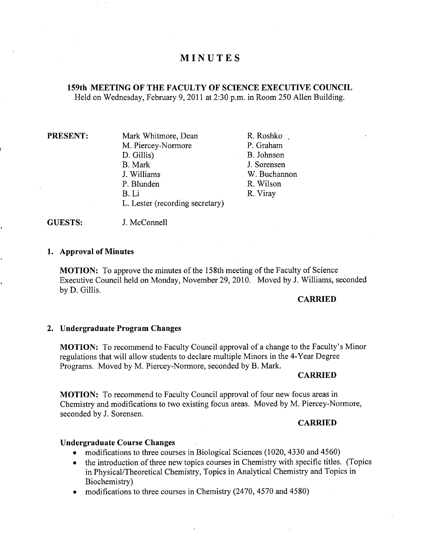# **MINUTES**

### **159th MEETING OF THE FACULTY OF SCIENCE EXECUTIVE COUNCIL**  Held on Wednesday, February 9, 2011 at 2:30 p.m. in Room *250* Allen Building.

| PRESENT: |  |
|----------|--|
|----------|--|

**Mark Whitmore, Dean** M. Piercey-Normore D. Gillis) B. Mark J. Williams P. Blunden B.Li L. Lester (recording secretary)

R.Roshko P. Graham B. Johnson J. Sorensen W. Buchannon R. Wilson R. Viray



#### **Approval of Minutes**

**MOTION:** To approve the minutes of the 158th meeting of the Faculty of Science Executive Council held on Monday, November 29, 2010. Moved by J. Williams, seconded by D. Gillis.

### **CARRIED**

#### **Undergraduate Program Changes**

**MOTION:** To recommend to Faculty Council approval of a change to the Faculty's Minor regulations that will allow students to declare multiple Minors in the 4-Year Degree Programs. Moved by M. Piercey-Normore, seconded by B. Mark.

#### **CARRIED**

**MOTION:** To recommend to Faculty Council approval of four new focus areas in Chemistry and modifications to two existing focus areas. Moved by M. Piercey-Normore, seconded by J. Sorensen.

### **CARRIED**

### **Undergraduate Course Changes**

- modifications to three courses in Biological Sciences (1020, 4330 and 4560)
- the introduction of three new topics courses in Chemistry with specific titles. (Topics in Physical/Theoretical Chemistry, Topics in Analytical Chemistry and Topics in Biochemistry)
- modifications to three courses in Chemistry (2470, 4570 and 4580)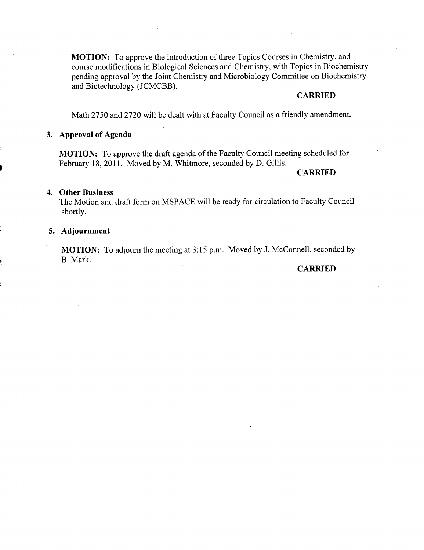**MOTION:** To approve the introduction of three Topics Courses in Chemistry, and course modifications in Biological Sciences and Chemistry, with Topics in Biochemistry pending approval by the Joint Chemistry and Microbiology Committee on Biochemistry and Biotechnology (JCMCBB).

#### **CARRIED**

Math 2750 and 2720 will be dealt with at Faculty Council as a friendly amendment.

#### **Approval of Agenda**

**MOTION:** To approve the draft agenda of the Faculty Council meeting scheduled for February 18, 2011. Moved by M. Whitmore, seconded by D. Gillis.

### **CARRIED**

#### **Other Business**

The Motion and draft form on MSPACE will be ready for circulation to Faculty Council shortly.

#### **Adjournment**

**MOTION:** To adjourn the meeting at *3:15* p.m. Moved by J. McConnell, seconded by B. Mark.

#### **CARRIED**